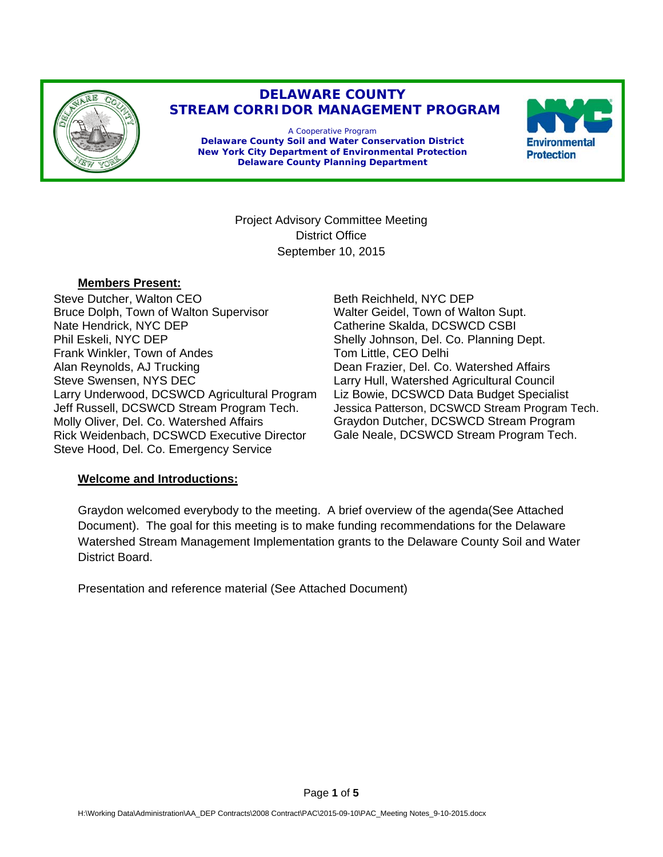

# **DELAWARE COUNTY STREAM CORRIDOR MANAGEMENT PROGRAM**

A Cooperative Program **Delaware County Soil and Water Conservation District New York City Department of Environmental Protection Delaware County Planning Department** 



Project Advisory Committee Meeting District Office September 10, 2015

#### **Members Present:**

Steve Dutcher, Walton CEO Bruce Dolph, Town of Walton Supervisor Nate Hendrick, NYC DEP Phil Eskeli, NYC DEP Frank Winkler, Town of Andes Alan Reynolds, AJ Trucking Steve Swensen, NYS DEC Larry Underwood, DCSWCD Agricultural Program Jeff Russell, DCSWCD Stream Program Tech. Molly Oliver, Del. Co. Watershed Affairs Rick Weidenbach, DCSWCD Executive Director Steve Hood, Del. Co. Emergency Service

Beth Reichheld, NYC DEP Walter Geidel, Town of Walton Supt. Catherine Skalda, DCSWCD CSBI Shelly Johnson, Del. Co. Planning Dept. Tom Little, CEO Delhi Dean Frazier, Del. Co. Watershed Affairs Larry Hull, Watershed Agricultural Council Liz Bowie, DCSWCD Data Budget Specialist Jessica Patterson, DCSWCD Stream Program Tech. Graydon Dutcher, DCSWCD Stream Program Gale Neale, DCSWCD Stream Program Tech.

## **Welcome and Introductions:**

Graydon welcomed everybody to the meeting. A brief overview of the agenda(See Attached Document). The goal for this meeting is to make funding recommendations for the Delaware Watershed Stream Management Implementation grants to the Delaware County Soil and Water District Board.

Presentation and reference material (See Attached Document)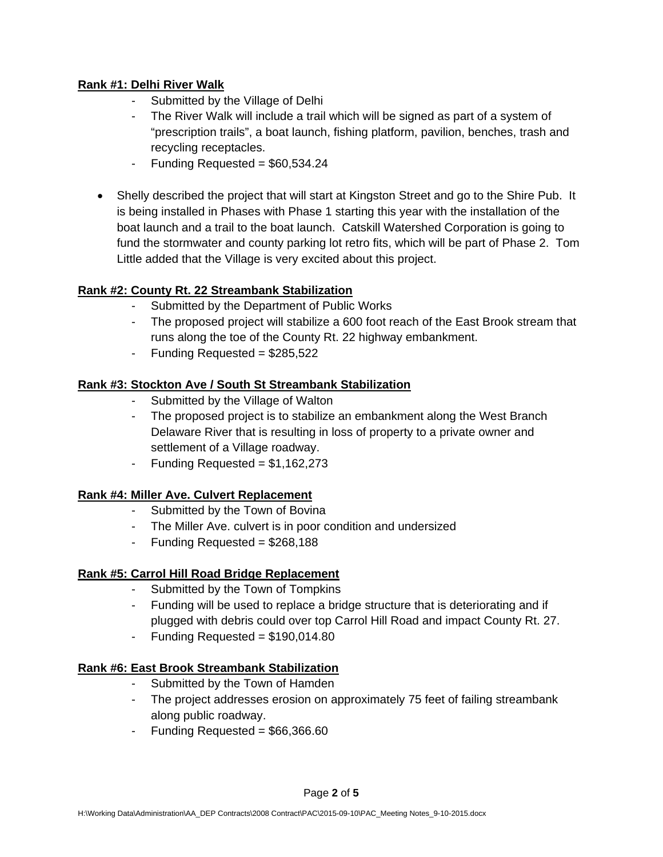### **Rank #1: Delhi River Walk**

- Submitted by the Village of Delhi
- The River Walk will include a trail which will be signed as part of a system of "prescription trails", a boat launch, fishing platform, pavilion, benches, trash and recycling receptacles.
- Funding Requested =  $$60,534.24$
- Shelly described the project that will start at Kingston Street and go to the Shire Pub. It is being installed in Phases with Phase 1 starting this year with the installation of the boat launch and a trail to the boat launch. Catskill Watershed Corporation is going to fund the stormwater and county parking lot retro fits, which will be part of Phase 2. Tom Little added that the Village is very excited about this project.

# **Rank #2: County Rt. 22 Streambank Stabilization**

- Submitted by the Department of Public Works
- The proposed project will stabilize a 600 foot reach of the East Brook stream that runs along the toe of the County Rt. 22 highway embankment.
- Funding Requested =  $$285,522$

### **Rank #3: Stockton Ave / South St Streambank Stabilization**

- Submitted by the Village of Walton
- The proposed project is to stabilize an embankment along the West Branch Delaware River that is resulting in loss of property to a private owner and settlement of a Village roadway.
- Funding Requested =  $$1,162,273$

## **Rank #4: Miller Ave. Culvert Replacement**

- Submitted by the Town of Bovina
- The Miller Ave. culvert is in poor condition and undersized
- Funding Requested = \$268,188

## **Rank #5: Carrol Hill Road Bridge Replacement**

- Submitted by the Town of Tompkins
- Funding will be used to replace a bridge structure that is deteriorating and if plugged with debris could over top Carrol Hill Road and impact County Rt. 27.
- Funding Requested =  $$190,014.80$

#### **Rank #6: East Brook Streambank Stabilization**

- Submitted by the Town of Hamden
- The project addresses erosion on approximately 75 feet of failing streambank along public roadway.
- Funding Requested =  $$66,366.60$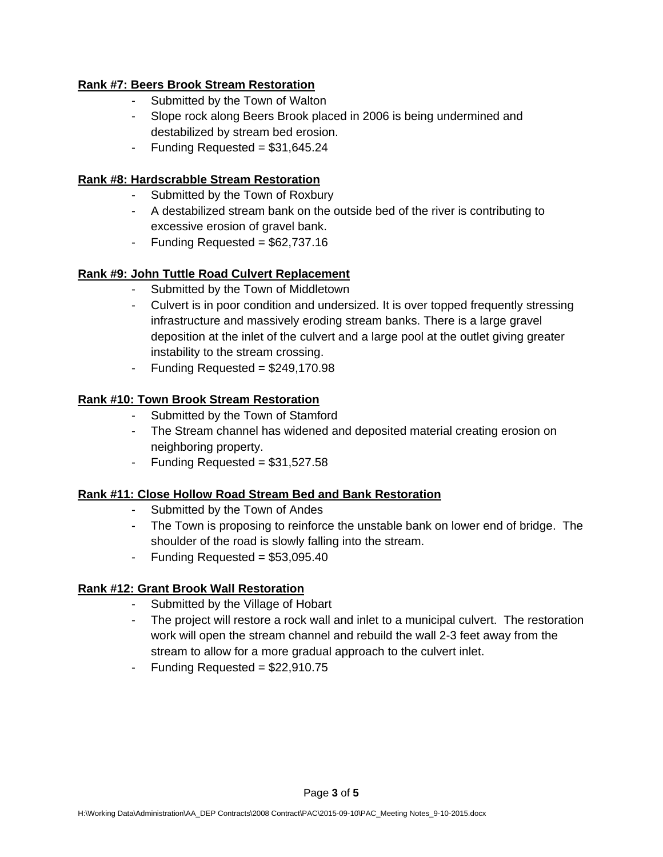### **Rank #7: Beers Brook Stream Restoration**

- Submitted by the Town of Walton
- Slope rock along Beers Brook placed in 2006 is being undermined and destabilized by stream bed erosion.
- Funding Requested =  $$31,645.24$

#### **Rank #8: Hardscrabble Stream Restoration**

- Submitted by the Town of Roxbury
- A destabilized stream bank on the outside bed of the river is contributing to excessive erosion of gravel bank.
- Funding Requested  $= $62,737.16$

## **Rank #9: John Tuttle Road Culvert Replacement**

- Submitted by the Town of Middletown
- Culvert is in poor condition and undersized. It is over topped frequently stressing infrastructure and massively eroding stream banks. There is a large gravel deposition at the inlet of the culvert and a large pool at the outlet giving greater instability to the stream crossing.
- Funding Requested =  $$249,170.98$

### **Rank #10: Town Brook Stream Restoration**

- Submitted by the Town of Stamford
- The Stream channel has widened and deposited material creating erosion on neighboring property.
- Funding Requested  $= $31,527.58$

#### **Rank #11: Close Hollow Road Stream Bed and Bank Restoration**

- Submitted by the Town of Andes
- The Town is proposing to reinforce the unstable bank on lower end of bridge. The shoulder of the road is slowly falling into the stream.
- Funding Requested  $= $53,095.40$

## **Rank #12: Grant Brook Wall Restoration**

- Submitted by the Village of Hobart
- The project will restore a rock wall and inlet to a municipal culvert. The restoration work will open the stream channel and rebuild the wall 2-3 feet away from the stream to allow for a more gradual approach to the culvert inlet.
- Funding Requested =  $$22,910.75$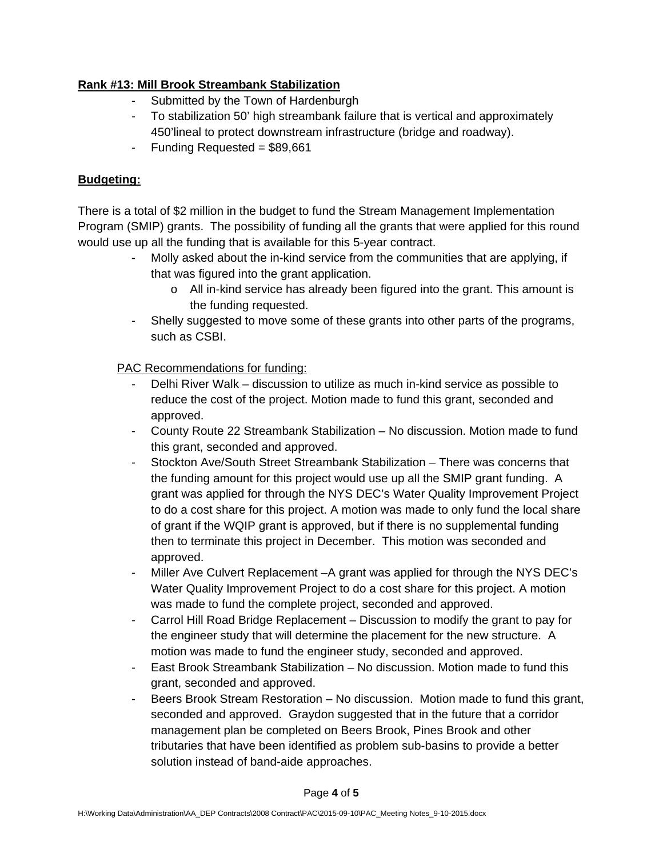### **Rank #13: Mill Brook Streambank Stabilization**

- Submitted by the Town of Hardenburgh
- To stabilization 50' high streambank failure that is vertical and approximately 450'lineal to protect downstream infrastructure (bridge and roadway).
- Funding Requested = \$89,661

### **Budgeting:**

There is a total of \$2 million in the budget to fund the Stream Management Implementation Program (SMIP) grants. The possibility of funding all the grants that were applied for this round would use up all the funding that is available for this 5-year contract.

- Molly asked about the in-kind service from the communities that are applying, if that was figured into the grant application.
	- o All in-kind service has already been figured into the grant. This amount is the funding requested.
- Shelly suggested to move some of these grants into other parts of the programs, such as CSBI.

PAC Recommendations for funding:

- Delhi River Walk discussion to utilize as much in-kind service as possible to reduce the cost of the project. Motion made to fund this grant, seconded and approved.
- County Route 22 Streambank Stabilization No discussion. Motion made to fund this grant, seconded and approved.
- Stockton Ave/South Street Streambank Stabilization There was concerns that the funding amount for this project would use up all the SMIP grant funding. A grant was applied for through the NYS DEC's Water Quality Improvement Project to do a cost share for this project. A motion was made to only fund the local share of grant if the WQIP grant is approved, but if there is no supplemental funding then to terminate this project in December. This motion was seconded and approved.
- Miller Ave Culvert Replacement –A grant was applied for through the NYS DEC's Water Quality Improvement Project to do a cost share for this project. A motion was made to fund the complete project, seconded and approved.
- Carrol Hill Road Bridge Replacement Discussion to modify the grant to pay for the engineer study that will determine the placement for the new structure. A motion was made to fund the engineer study, seconded and approved.
- East Brook Streambank Stabilization No discussion. Motion made to fund this grant, seconded and approved.
- Beers Brook Stream Restoration No discussion. Motion made to fund this grant, seconded and approved. Graydon suggested that in the future that a corridor management plan be completed on Beers Brook, Pines Brook and other tributaries that have been identified as problem sub-basins to provide a better solution instead of band-aide approaches.